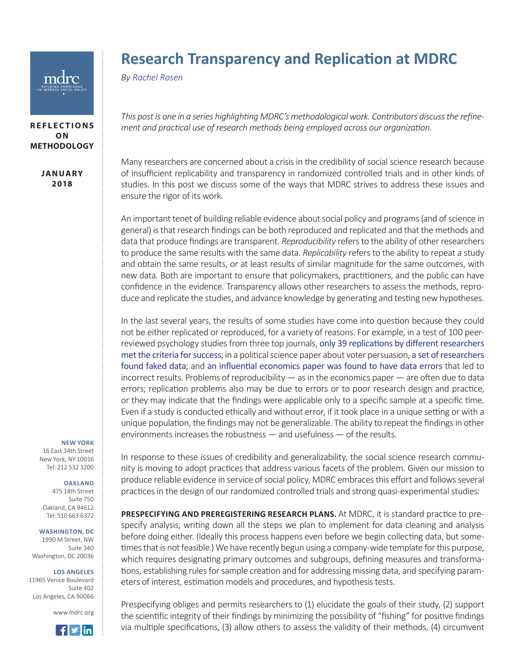

# **REFLECTIONS O N METHODOLOGY**

**JA N UA RY 2018**

# **Research Transparency and Replication at MDRC**

*By [Rachel Rosen](https://www.mdrc.org/about/rachel-rosen)*

*This post is one in a series highlighting MDRC's methodological work. Contributors discuss the refinement and practical use of research methods being employed across our organization.*

Many researchers are concerned about a crisis in the credibility of social science research because of insufficient replicability and transparency in randomized controlled trials and in other kinds of studies. In this post we discuss some of the ways that MDRC strives to address these issues and ensure the rigor of its work.

An important tenet of building reliable evidence about social policy and programs (and of science in general) is that research findings can be both reproduced and replicated and that the methods and data that produce findings are transparent. *Reproducibility* refers to the ability of other researchers to produce the same results with the same data. *Replicability* refers to the ability to repeat a study and obtain the same results, or at least results of similar magnitude for the same outcomes, with new data. Both are important to ensure that policymakers, practitioners, and the public can have confidence in the evidence. Transparency allows other researchers to assess the methods, reproduce and replicate the studies, and advance knowledge by generating and testing new hypotheses.

In the last several years, the results of some studies have come into question because they could not be either replicated or reproduced, for a variety of reasons. For example, in a test of 100 peerreviewed psychology studies from three top journals, [only 39 replications by different researchers](http://www.nature.com/news/first-results-from-psychology-s-largest-reproducibility-test-1.17433) [met the criteria for success](http://www.nature.com/news/first-results-from-psychology-s-largest-reproducibility-test-1.17433); in a political science paper about voter persuasion, [a set of researchers](https://fivethirtyeight.com/features/how-two-grad-students-uncovered-michael-lacour-fraud-and-a-way-to-change-opinions-on-transgender-rights/) [found faked data](https://fivethirtyeight.com/features/how-two-grad-students-uncovered-michael-lacour-fraud-and-a-way-to-change-opinions-on-transgender-rights/); and [an influential economics paper was found to have data errors](http://retractionwatch.com/2013/04/18/influential-reinhart-rogoff-economics-paper-suffers-database-error/) that led to incorrect results. Problems of reproducibility — as in the economics paper — are often due to data errors; replication problems also may be due to errors or to poor research design and practice, or they may indicate that the findings were applicable only to a specific sample at a specific time. Even if a study is conducted ethically and without error, if it took place in a unique setting or with a unique population, the findings may not be generalizable. The ability to repeat the findings in other environments increases the robustness — and usefulness — of the results.

**NEW YORK**

16 East 34th Street New York, NY 10016 Tel: 212 532 3200

## **OAKLAND**

475 14th Street Suite 750 Oakland, CA 94612 Tel: 510 663 6372

### **WASHINGTON, DC**

1990 M Street, NW Suite 340 Washington, DC 20036

### **LOS ANGELES**

11965 Venice Boulevard Suite 402 Los Angeles, CA 90066

www.mdrc.org



In response to these issues of credibility and generalizability, the social science research community is moving to adopt practices that address various facets of the problem. Given our mission to produce reliable evidence in service of social policy, MDRC embraces this effort and follows several practices in the design of our randomized controlled trials and strong quasi-experimental studies:

**PRESPECIFYING AND PREREGISTERING RESEARCH PLANS.** At MDRC, it is standard practice to prespecify analysis, writing down all the steps we plan to implement for data cleaning and analysis before doing either. (Ideally this process happens even before we begin collecting data, but sometimes that is not feasible.) We have recently begun using a company-wide template for this purpose, which requires designating primary outcomes and subgroups, defining measures and transformations, establishing rules for sample creation and for addressing missing data, and specifying parameters of interest, estimation models and procedures, and hypothesis tests.

Prespecifying obliges and permits researchers to (1) elucidate the goals of their study, (2) support the scientific integrity of their findings by minimizing the possibility of "fishing" for positive findings via multiple specifications, (3) allow others to assess the validity of their methods, (4) circumvent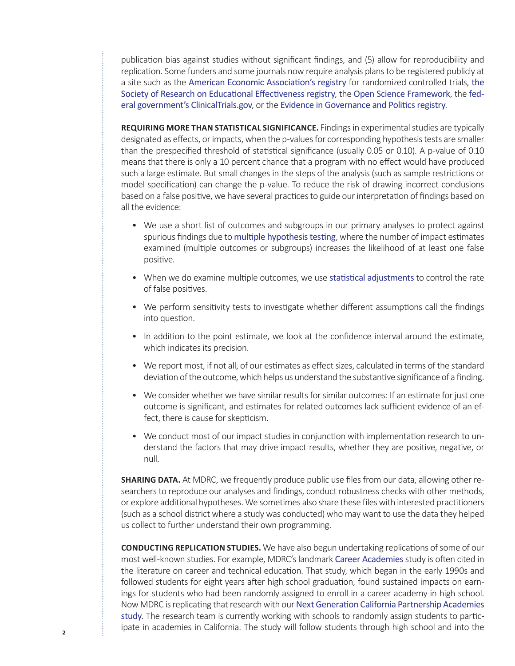publication bias against studies without significant findings, and (5) allow for reproducibility and replication. Some funders and some journals now require analysis plans to be registered publicly at a site such as the [American Economic Association's registry](https://www.socialscienceregistry.org/) for randomized controlled trials, [the](https://www.sree.org/pages/registry.php)  [Society of Research on Educational Effectiveness registry](https://www.sree.org/pages/registry.php), the [Open Science Framework](http://osf.io/), the [fed](https://clinicaltrials.gov/)[eral government's ClinicalTrials.gov](https://clinicaltrials.gov/), or the [Evidence in Governance and Politics registry](http://egap.org/).

**REQUIRING MORE THAN STATISTICAL SIGNIFICANCE.** Findings in experimental studies are typically designated as effects, or impacts, when the p-values for corresponding hypothesis tests are smaller than the prespecified threshold of statistical significance (usually 0.05 or 0.10). A p-value of 0.10 means that there is only a 10 percent chance that a program with no effect would have produced such a large estimate. But small changes in the steps of the analysis (such as sample restrictions or model specification) can change the p-value. To reduce the risk of drawing incorrect conclusions based on a false positive, we have several practices to guide our interpretation of findings based on all the evidence:

- We use a short list of outcomes and subgroups in our primary analyses to protect against spurious findings due to [multiple hypothesis testing](https://www.mdrc.org/publication/estimating-statistical-power-when-using-multiple-testing-procedures), where the number of impact estimates examined (multiple outcomes or subgroups) increases the likelihood of at least one false positive.
- When we do examine multiple outcomes, we use [statistical adjustments](https://www.mdrc.org/publication/estimating-statistical-power-when-using-multiple-testing-procedures) to control the rate of false positives.
- We perform sensitivity tests to investigate whether different assumptions call the findings into question.
- In addition to the point estimate, we look at the confidence interval around the estimate, which indicates its precision.
- We report most, if not all, of our estimates as effect sizes, calculated in terms of the standard deviation of the outcome, which helps us understand the substantive significance of a finding.
- We consider whether we have similar results for similar outcomes: If an estimate for just one outcome is significant, and estimates for related outcomes lack sufficient evidence of an effect, there is cause for skepticism.
- We conduct most of our impact studies in conjunction with implementation research to understand the factors that may drive impact results, whether they are positive, negative, or null.

**SHARING DATA.** At MDRC, we frequently produce public use files from our data, allowing other researchers to reproduce our analyses and findings, conduct robustness checks with other methods, or explore additional hypotheses. We sometimes also share these files with interested practitioners (such as a school district where a study was conducted) who may want to use the data they helped us collect to further understand their own programming.

**CONDUCTING REPLICATION STUDIES.** We have also begun undertaking replications of some of our most well-known studies. For example, MDRC's landmark [Career Academies](https://www.mdrc.org/publication/career-academies-long-term-impacts-work-education-and-transitions-adulthood) study is often cited in the literature on career and technical education. That study, which began in the early 1990s and followed students for eight years after high school graduation, found sustained impacts on earnings for students who had been randomly assigned to enroll in a career academy in high school. Now MDRC is replicating that research with our [Next Generation California Partnership Academies](https://www.mdrc.org/project/next-generation-california-partnership-academies#overview) [study](https://www.mdrc.org/project/next-generation-california-partnership-academies#overview). The research team is currently working with schools to randomly assign students to participate in academies in California. The study will follow students through high school and into the